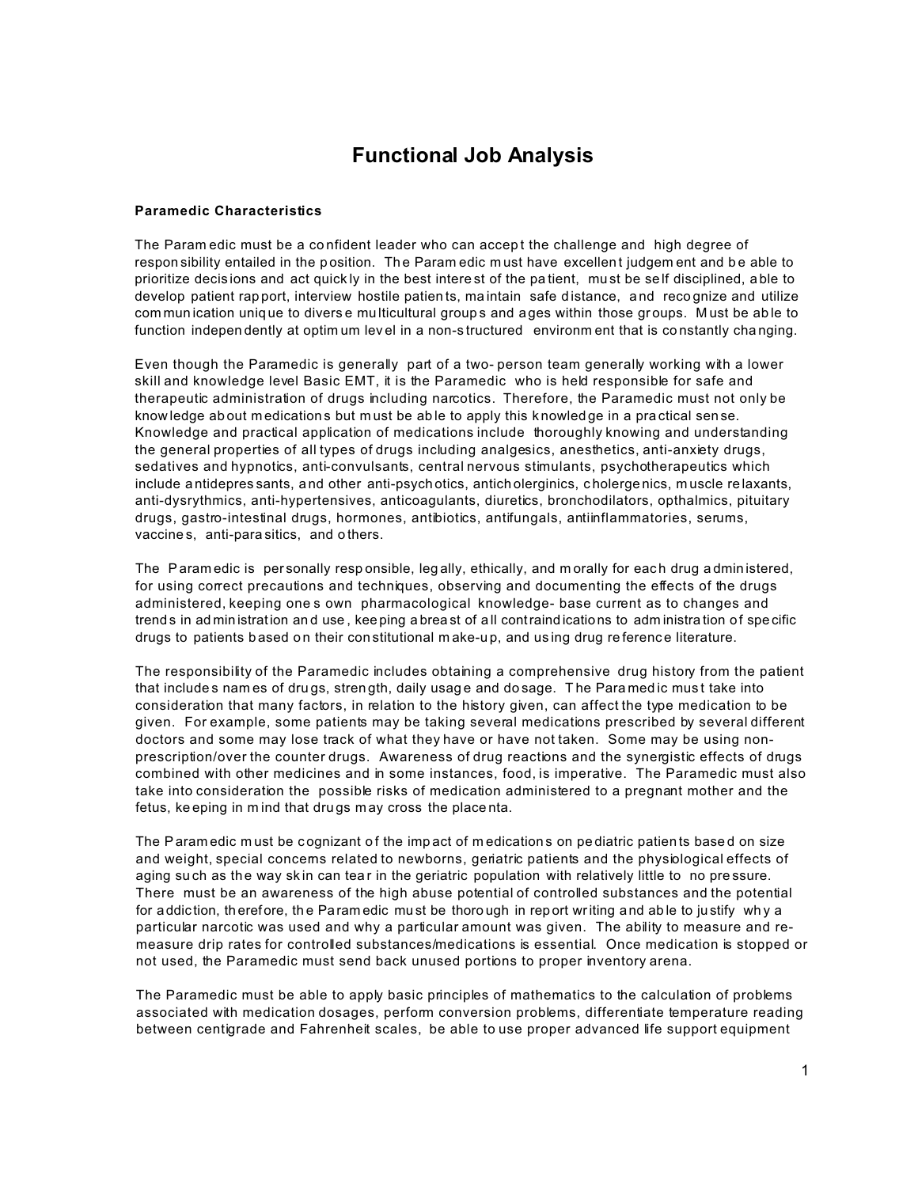# **Functional Job Analysis**

### **Paramedic Characteristics**

The Paramedic must be a confident leader who can accept the challenge and high degree of responsibility entailed in the position. The Paramedic must have excellent judgement and be able to prioritize decisions and act quickly in the best interest of the patient, must be self disciplined, able to develop patient rapport, interview hostile patients, maintain safe distance, and recognize and utilize communication unique to diverse multicultural groups and ages within those groups. Must be able to function independently at optimum level in a non-structured environment that is constantly changing.

Even though the Paramedic is generally part of a two-person team generally working with a lower skill and knowledge level Basic EMT, it is the Paramedic who is held responsible for safe and therapeutic administration of drugs including narcotics. Therefore, the Paramedic must not only be knowledge about medications but must be able to apply this knowledge in a practical sense. Knowledge and practical application of medications include thoroughly knowing and understanding the general properties of all types of drugs including analgesics, anesthetics, anti-anxiety drugs, sedatives and hypnotics, anti-convulsants, central nervous stimulants, psychotherapeutics which include antidepres sants, and other anti-psychotics, anticholerginics, cholergenics, muscle relaxants, anti-dysrythmics, anti-hypertensives, anticoagulants, diuretics, bronchodilators, opthalmics, pituitary drugs, gastro-intestinal drugs, hormones, antibiotics, antifungals, antiinflammatories, serums, vaccines, anti-parasitics, and others.

The Paramedic is personally responsible, legally, ethically, and morally for each drug administered, for using correct precautions and techniques, observing and documenting the effects of the drugs administered, keeping ones own pharmacological knowledge- base current as to changes and trends in administration and use, keeping a breast of all contraindications to administration of specific drugs to patients based on their constitutional make-up, and using drug reference literature.

The responsibility of the Paramedic includes obtaining a comprehensive drug history from the patient that includes names of drugs, strength, daily usage and dosage. The Paramedic must take into consideration that many factors, in relation to the history given, can affect the type medication to be given. For example, some patients may be taking several medications prescribed by several different doctors and some may lose track of what they have or have not taken. Some may be using nonprescription/over the counter drugs. Awareness of drug reactions and the synergistic effects of drugs combined with other medicines and in some instances, food, is imperative. The Paramedic must also take into consideration the possible risks of medication administered to a pregnant mother and the fetus, keeping in mind that drugs may cross the placenta.

The Paramedic must be cognizant of the impact of medications on pediatric patients based on size and weight, special concems related to newborns, geriatric patients and the physiological effects of aging such as the way skin can tear in the geriatric population with relatively little to no pressure. There must be an awareness of the high abuse potential of controlled substances and the potential for addiction, therefore, the Paramedic must be thorough in report writing and able to justify why a particular narcotic was used and why a particular amount was given. The ability to measure and remeasure drip rates for controlled substances/medications is essential. Once medication is stopped or not used, the Paramedic must send back unused portions to proper inventory arena.

The Paramedic must be able to apply basic principles of mathematics to the calculation of problems associated with medication dosages, perform conversion problems, differentiate temperature reading between centigrade and Fahrenheit scales, be able to use proper advanced life support equipment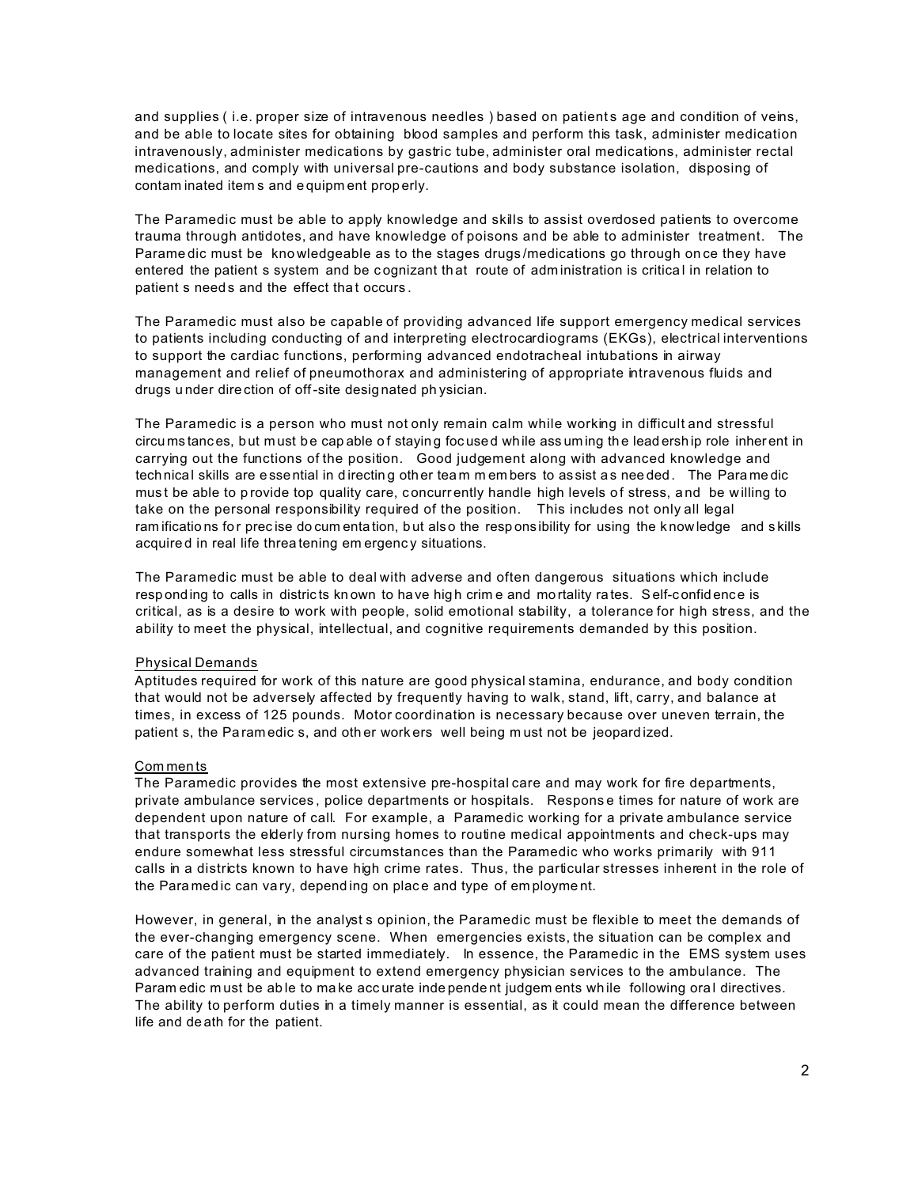and supplies (i.e. proper size of intravenous needles) based on patients age and condition of veins, and be able to locate sites for obtaining blood samples and perform this task, administer medication intravenously, administer medications by gastric tube, administer oral medications, administer rectal medications, and comply with universal pre-cautions and body substance isolation, disposing of contam inated items and equipment properly.

The Paramedic must be able to apply knowledge and skills to assist overdosed patients to overcome trauma through antidotes, and have knowledge of poisons and be able to administer treatment. The Paramedic must be knowledgeable as to the stages drugs/medications go through once they have entered the patient s system and be cognizant that route of administration is critical in relation to patient s needs and the effect that occurs.

The Paramedic must also be capable of providing advanced life support emergency medical services to patients including conducting of and interpreting electrocardiograms (EKGs), electrical interventions to support the cardiac functions, performing advanced endotracheal intubations in airway management and relief of pneumothorax and administering of appropriate intravenous fluids and drugs under direction of off-site designated physician.

The Paramedic is a person who must not only remain calm while working in difficult and stressful circumstances, but must be capable of staying focused while assuming the leadership role inherent in carrying out the functions of the position. Good judgement along with advanced knowledge and technical skills are essential in directing other team members to assist as needed. The Paramedic must be able to provide top quality care, concurrently handle high levels of stress, and be willing to take on the personal responsibility required of the position. This includes not only all legal ramifications for precise documentation, but also the responsibility for using the knowledge and skills acquired in real life threatening emergency situations.

The Paramedic must be able to deal with adverse and often dangerous situations which include responding to calls in districts known to have high crime and mortality rates. Self-confidence is critical, as is a desire to work with people, solid emotional stability, a tolerance for high stress, and the ability to meet the physical, intellectual, and cognitive requirements demanded by this position.

### **Physical Demands**

Aptitudes required for work of this nature are good physical stamina, endurance, and body condition that would not be adversely affected by frequently having to walk, stand, lift, carry, and balance at times, in excess of 125 pounds. Motor coordination is necessary because over uneven terrain, the patient s, the Paramedic s, and other workers well being must not be jeopardized.

### Comments

The Paramedic provides the most extensive pre-hospital care and may work for fire departments, private ambulance services, police departments or hospitals. Response times for nature of work are dependent upon nature of call. For example, a Paramedic working for a private ambulance service that transports the elderly from nursing homes to routine medical appointments and check-ups may endure somewhat less stressful circumstances than the Paramedic who works primarily with 911 calls in a districts known to have high crime rates. Thus, the particular stresses inherent in the role of the Paramedic can vary, depending on place and type of employment.

However, in general, in the analyst s opinion, the Paramedic must be flexible to meet the demands of the ever-changing emergency scene. When emergencies exists, the situation can be complex and care of the patient must be started immediately. In essence, the Paramedic in the EMS system uses advanced training and equipment to extend emergency physician services to the ambulance. The Param edic must be able to make accurate independent judgem ents while following oral directives. The ability to perform duties in a timely manner is essential, as it could mean the difference between life and death for the patient.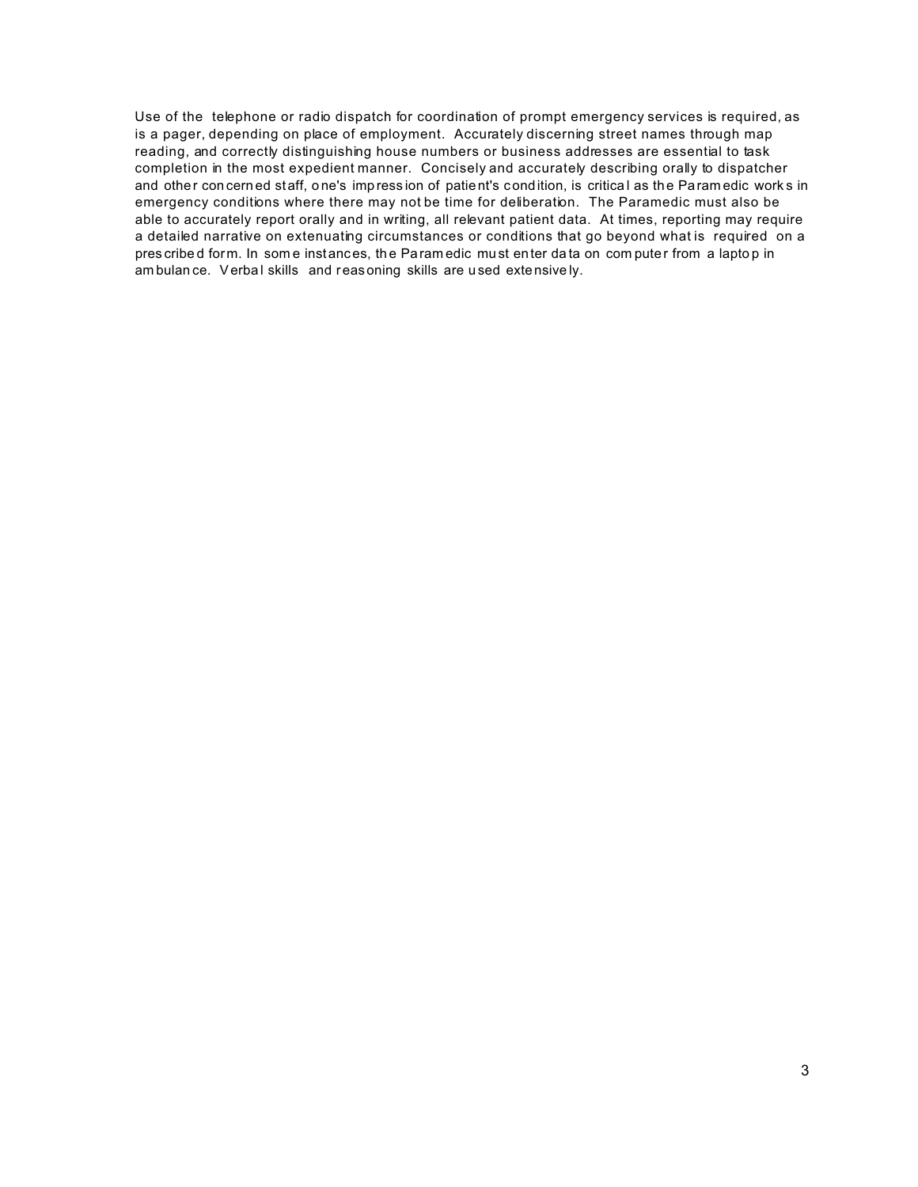Use of the telephone or radio dispatch for coordination of prompt emergency services is required, as is a pager, depending on place of employment. Accurately discerning street names through map reading, and correctly distinguishing house numbers or business addresses are essential to task completion in the most expedient manner. Concisely and accurately describing orally to dispatcher and other con cern ed staff, one's imp ression of patient's condition, is critical as the Param edic works in emergency conditions where there may not be time for deliberation. The Paramedic must also be able to accurately report orally and in writing, all relevant patient data. At times, reporting may require a detailed narrative on extenuating circumstances or conditions that go beyond what is required on a pres cribe d form. In som e instances, th e Param edic mu st enter da ta on com pute r from a lapto p in am bulan ce. Verbal skills and reasoning skills are used extensively.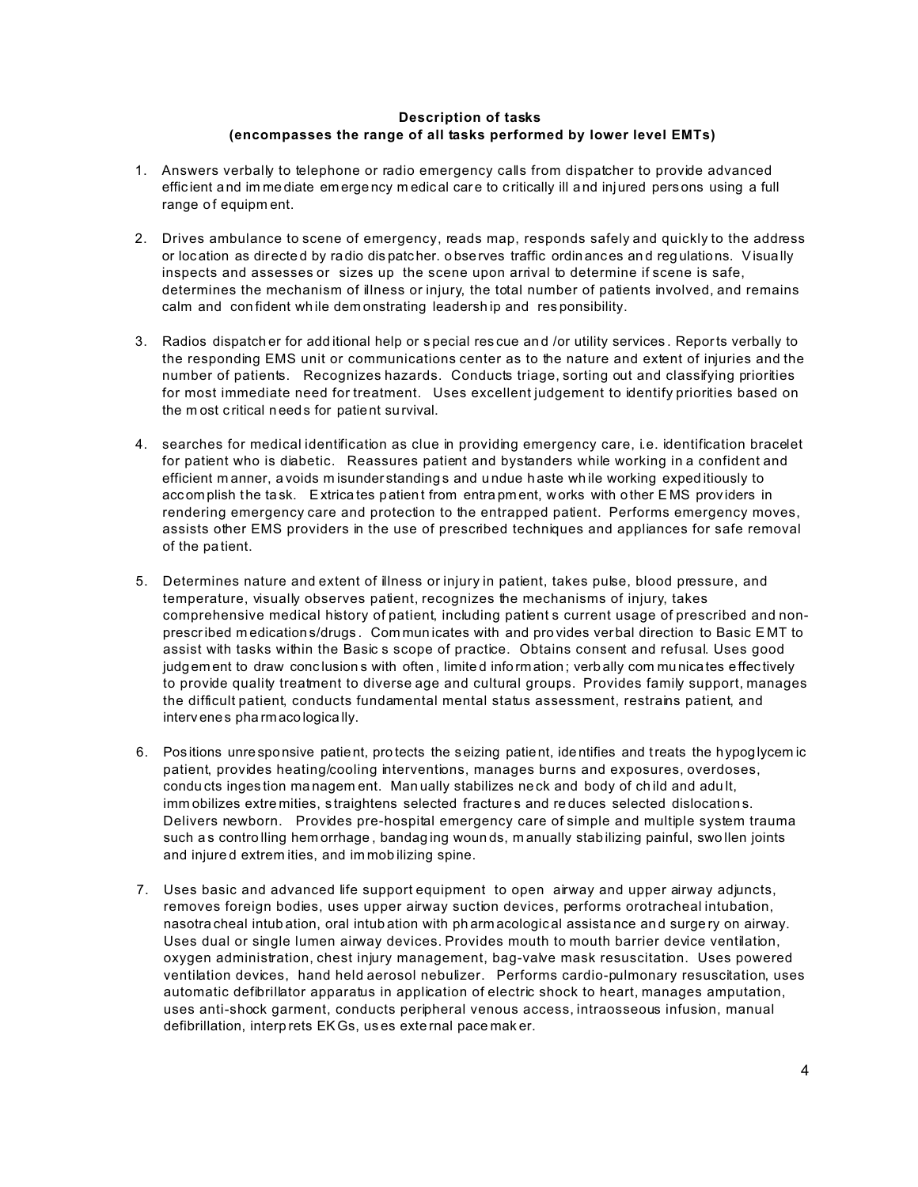## **Description of tasks (encompasses the range of all tasks performed by lower level EMTs)**

- 1. Answers verbally to telephone or radio emergency calls from dispatcher to provide advanced efficient and im me diate em ergency m edical care to critically ill and injured persons using a full range of equipm ent.
- 2. Drives ambulance to scene of emergency, reads map, responds safely and quickly to the address or loc ation as dir ecte d by ra dio dis patc her. o bserves traffic ordin ances an d reg ulations. Visually inspects and assesses or sizes up the scene upon arrival to determine if scene is safe, determines the mechanism of illness or injury, the total number of patients involved, and remains calm and con fident wh ile dem onstrating leadersh ip and res ponsibility.
- 3. Radios dispatch er for add itional help or s pecial res cue an d /or utility services . Reports verbally to the responding EMS unit or communications center as to the nature and extent of injuries and the number of patients. Recognizes hazards. Conducts triage, sorting out and classifying priorities for most immediate need for treatment. Uses excellent judgement to identify priorities based on the m ost c ritical n eeds for patient survival.
- 4. searches for medical identification as clue in providing emergency care, i.e. identification bracelet for patient who is diabetic. Reassures patient and bystanders while working in a confident and efficient m anner, a voids m isunder standing s and u ndue h aste wh ile working exped itiously to accom plish the task. Extrica tes patient from entra pm ent, w orks with other E MS prov iders in rendering emergency care and protection to the entrapped patient. Performs emergency moves, assists other EMS providers in the use of prescribed techniques and appliances for safe removal of the pa tient.
- 5. Determines nature and extent of illness or injury in patient, takes pulse, blood pressure, and temperature, visually observes patient, recognizes the mechanisms of injury, takes comprehensive medical history of patient, including patient s current usage of prescribed and nonprescribed m edication s/drugs . Com mun icates with and pro vides ver bal direction to Basic E MT to assist with tasks within the Basic s scope of practice. Obtains consent and refusal. Uses good judg em ent to draw conclusion s with often, limited information; verbally com municates effectively to provide quality treatment to diverse age and cultural groups. Provides family support, manages the difficult patient, conducts fundamental mental status assessment, restrains patient, and interv enes pha rmacologica lly.
- 6. Pos itions unre sponsive patient, pro tects the seizing patient, ide ntifies and treats the hypoglycem ic patient, provides heating/cooling interventions, manages burns and exposures, overdoses, condu cts inges tion ma nagem ent. Man ually stabilizes ne ck and body of ch ild and adu lt, imm obilizes extre mities, straightens selected fractures and reduces selected dislocations. Delivers newborn. Provides pre-hospital emergency care of simple and multiple system trauma such as controlling hem orrhage, bandaging wounds, manually stabilizing painful, swollen joints and injure d extrem ities, and im mob ilizing spine.
- 7. Uses basic and advanced life support equipment to open airway and upper airway adjuncts, removes foreign bodies, uses upper airway suction devices, performs orotracheal intubation, nasotra cheal intub ation, oral intub ation with ph arm acologic al assista nce an d surge ry on airway. Uses dual or single lumen airway devices. Provides mouth to mouth barrier device ventilation, oxygen administration, chest injury management, bag-valve mask resuscitation. Uses powered ventilation devices, hand held aerosol nebulizer. Performs cardio-pulmonary resuscitation, uses automatic defibrillator apparatus in application of electric shock to heart, manages amputation, uses anti-shock garment, conducts peripheral venous access, intraosseous infusion, manual defibrillation, interp rets EKGs, us es exte rnal pace mak er.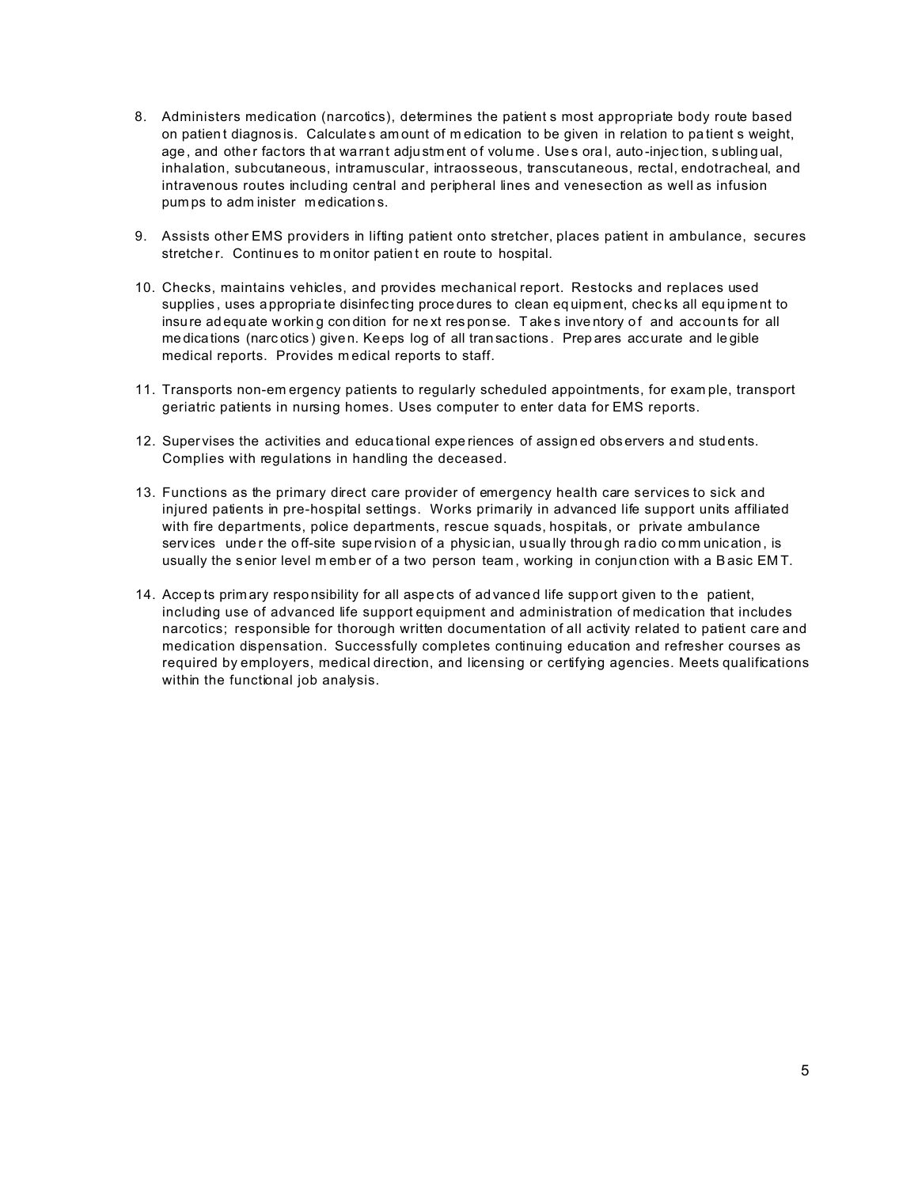- 8. Administers medication (narcotics), determines the patient s most appropriate body route based on patient diagnosis. Calculates amount of medication to be given in relation to patient s weight, age, and other factors that warrant adjustment of volume. Uses oral, auto-injection, sublingual, inhalation, subcutaneous, intramuscular, intraosseous, transcutaneous, rectal, endotracheal, and intravenous routes including central and peripheral lines and venesection as well as infusion pumps to administer medications.
- 9. Assists other EMS providers in lifting patient onto stretcher, places patient in ambulance, secures stretcher. Continues to monitor patient en route to hospital.
- 10. Checks, maintains vehicles, and provides mechanical report. Restocks and replaces used supplies, uses appropriate disinfecting procedures to clean equipment, checks all equipment to insure adequate working condition for next response. Takes inventory of and accounts for all medications (narcotics) given. Keeps log of all transactions. Prepares accurate and legible medical reports. Provides medical reports to staff.
- 11. Transports non-emergency patients to regularly scheduled appointments, for example, transport geriatric patients in nursing homes. Uses computer to enter data for EMS reports.
- 12. Supervises the activities and educational experiences of assigned observers and students. Complies with regulations in handling the deceased.
- 13. Functions as the primary direct care provider of emergency health care services to sick and injured patients in pre-hospital settings. Works primarily in advanced life support units affiliated with fire departments, police departments, rescue squads, hospitals, or private ambulance services under the off-site supervision of a physician, usually through radio communication, is usually the senior level member of a two person team, working in conjunction with a Basic EMT.
- 14. Accepts primary responsibility for all aspects of advanced life support given to the patient, including use of advanced life support equipment and administration of medication that includes narcotics; responsible for thorough written documentation of all activity related to patient care and medication dispensation. Successfully completes continuing education and refresher courses as required by employers, medical direction, and licensing or certifying agencies. Meets qualifications within the functional job analysis.